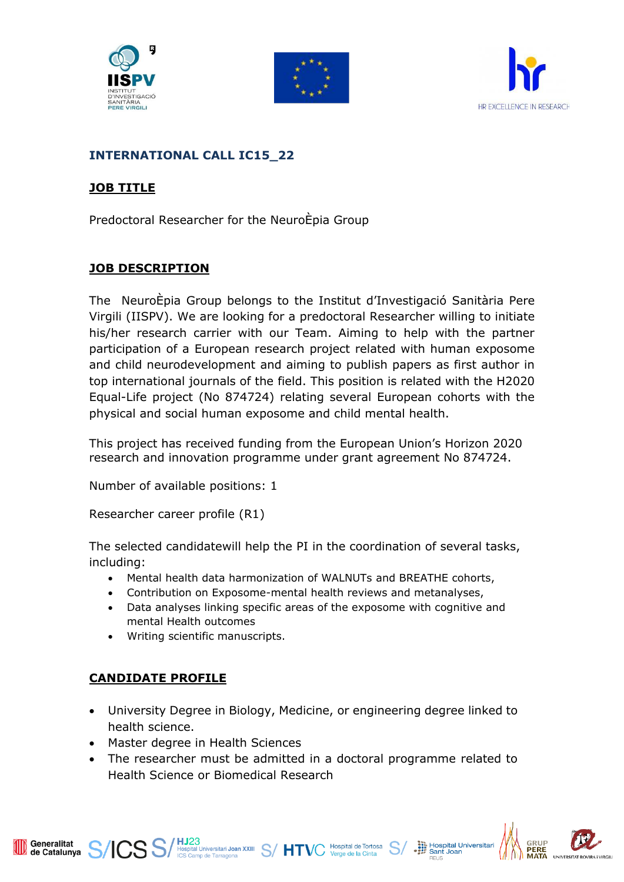





### **INTERNATIONAL CALL IC15\_22**

### **JOB TITLE**

Predoctoral Researcher for the NeuroÈpia Group

## **JOB DESCRIPTION**

The NeuroÈpia Group belongs to the Institut d'Investigació Sanitària Pere Virgili (IISPV). We are looking for a predoctoral Researcher willing to initiate his/her research carrier with our Team. Aiming to help with the partner participation of a European research project related with human exposome and child neurodevelopment and aiming to publish papers as first author in top international journals of the field. This position is related with the H2020 Equal-Life project (No 874724) relating several European cohorts with the physical and social human exposome and child mental health.

This project has received funding from the European Union's Horizon 2020 research and innovation programme under grant agreement No 874724.

Number of available positions: 1

Researcher career profile (R1)

The selected candidatewill help the PI in the coordination of several tasks, including:

- Mental health data harmonization of WALNUTs and BREATHE cohorts,
- Contribution on Exposome-mental health reviews and metanalyses,
- Data analyses linking specific areas of the exposome with cognitive and mental Health outcomes
- Writing scientific manuscripts.

#### **CANDIDATE PROFILE**

Generalitat<br>de Catalunya

- University Degree in Biology, Medicine, or engineering degree linked to health science.
- Master degree in Health Sciences
- The researcher must be admitted in a doctoral programme related to Health Science or Biomedical Research

S S/HJ23<br>
Inspital Universitari Joan XXIII S/HTVC Verge de la Cinta<br>
ICS Camp de Tarragona



Hospital Universitar<br>
Sant Joan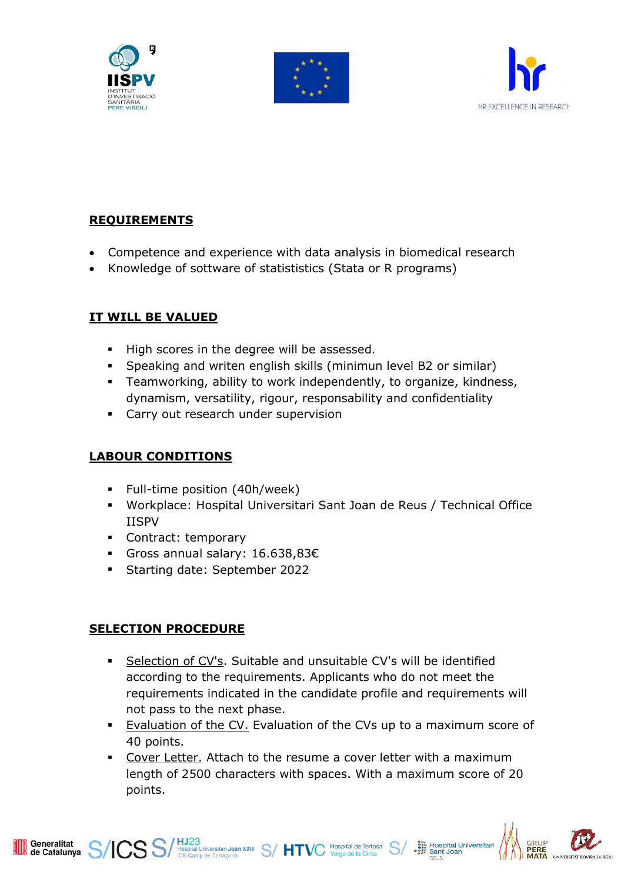





# **REQUIREMENTS**

- Competence and experience with data analysis in biomedical research
- Knowledge of sottware of statististics (Stata or R programs)

## **IT WILL BE VALUED**

- High scores in the degree will be assessed.
- Speaking and writen english skills (minimun level B2 or similar)
- Teamworking, ability to work independently, to organize, kindness, dynamism, versatility, rigour, responsability and confidentiality
- **EXEC** Carry out research under supervision

#### **LABOUR CONDITIONS**

- Full-time position (40h/week)
- Workplace: Hospital Universitari Sant Joan de Reus / Technical Office IISPV
- Contract: temporary
- Gross annual salary: 16.638,83€
- Starting date: September 2022

#### **SELECTION PROCEDURE**

Generalitat<br>de Catalunya Generalitat

- Selection of CV's. Suitable and unsuitable CV's will be identified according to the requirements. Applicants who do not meet the requirements indicated in the candidate profile and requirements will not pass to the next phase.
- **Evaluation of the CV.** Evaluation of the CVs up to a maximum score of 40 points.
- Cover Letter. Attach to the resume a cover letter with a maximum length of 2500 characters with spaces. With a maximum score of 20 points.

 $\mathbb{CS}$   $\mathbb{S}/\mathbb{H}^{123}_{\mathbb{CS}$  Camp de Tarragona  $\mathbb{K}^{\mathbb{N}}$   $\mathbb{S}/\mathbb{H}$   $\mathbb{TV}$   $\mathbb{C}$  Mospital de Tortosa  $\mathbb{S}/\mathbb{S}$ 



Hospital Universitari<br>Sant Joan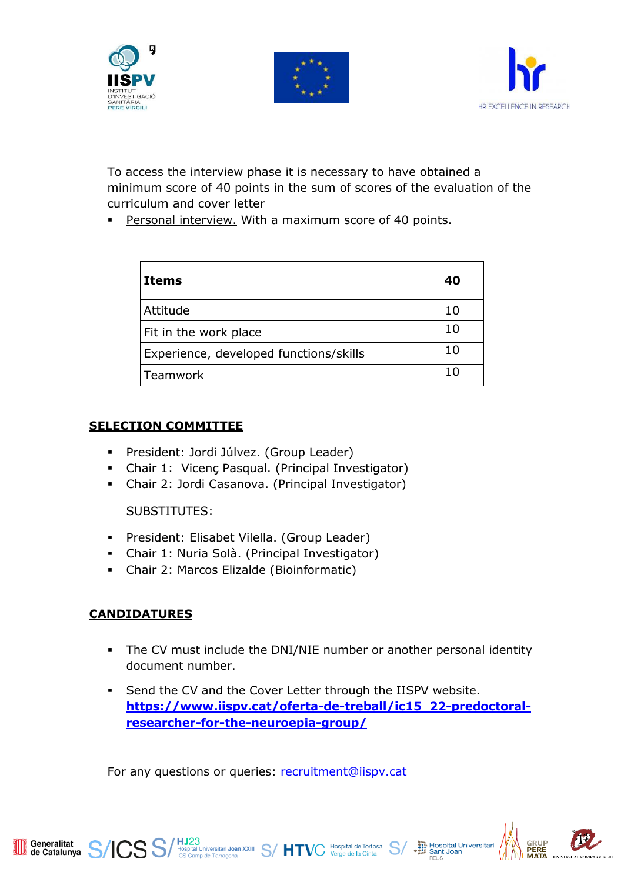





To access the interview phase it is necessary to have obtained a minimum score of 40 points in the sum of scores of the evaluation of the curriculum and cover letter

**Personal interview.** With a maximum score of 40 points.

| Items                                  | 40 |
|----------------------------------------|----|
| Attitude                               | 10 |
| Fit in the work place                  | 10 |
| Experience, developed functions/skills | 10 |
| Teamwork                               | 10 |

## **SELECTION COMMITTEE**

- President: Jordi Júlvez. (Group Leader)
- Chair 1: Vicenç Pasqual. (Principal Investigator)
- Chair 2: Jordi Casanova. (Principal Investigator)

SUBSTITUTES:

- President: Elisabet Vilella. (Group Leader)
- Chair 1: Nuria Solà. (Principal Investigator)
- Chair 2: Marcos Elizalde (Bioinformatic)

# **CANDIDATURES**

- The CV must include the DNI/NIE number or another personal identity document number.
- Send the CV and the Cover Letter through the IISPV website. **https://www.iispv.cat/oferta-de-treball/ic15\_22-predoctoralresearcher-for-the-neuroepia-group/**

For any questions or queries: [recruitment@iispv.cat](file://///10.40.3.50/RRHH%20-%20Convocatories/2022/Esquelets%20convocatòries/recruitment@iispv.cat)

 $\mathbf{SS}/\mathbf{H}$ J $23$ <br> $\mathbf{SS}/\mathbf{H}$ Mospital Universitari Joan XXIII  $\mathbf{S}/\mathbf{H}$ TVC Verge de la Cinta  $\mathbf{S}/\mathbf{H}$ 



Hospital Universitari<br>
Sant Joan